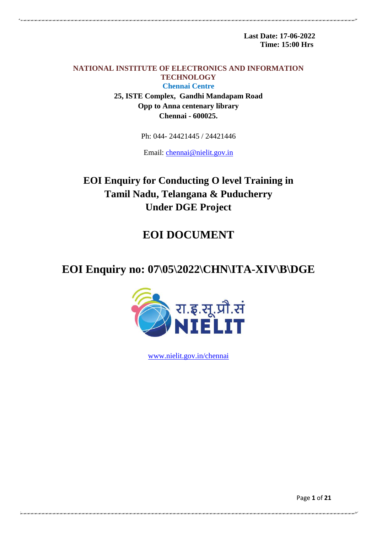**Last Date: 17-06-2022 Time: 15:00 Hrs**

.<br>Nati o della chella della chella della chella della chella della chella della chella della chella della chell

**NATIONAL INSTITUTE OF ELECTRONICS AND INFORMATION TECHNOLOGY Chennai Centre 25, ISTE Complex, Gandhi Mandapam Road Opp to Anna centenary library Chennai - 600025.**

Ph: 044- 24421445 / 24421446

Email: [chennai@nielit.gov.in](mailto:chennai@nielit.gov.in)

**EOI Enquiry for Conducting O level Training in Tamil Nadu, Telangana & Puducherry Under DGE Project**

# **EOI DOCUMENT**

# **EOI Enquiry no: 07\05\2022\CHN\ITA-XIV\B\DGE**



[www.nielit.gov.in/chennai](http://www.nielit.gov.in/chennai)

Page **1** of **21**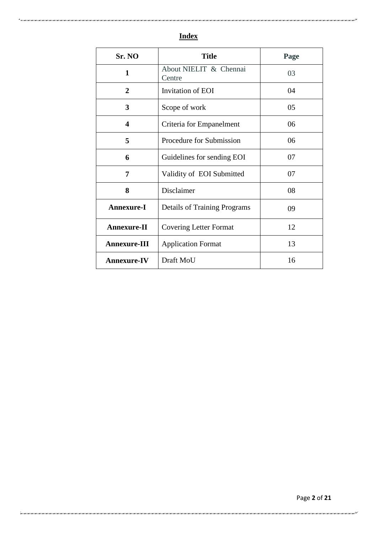| Sr. NO              | <b>Title</b>                        | Page |
|---------------------|-------------------------------------|------|
| $\mathbf{1}$        | About NIELIT & Chennai<br>Centre    | 03   |
| $\overline{2}$      | Invitation of EOI                   | 04   |
| 3                   | Scope of work                       | 05   |
| 4                   | Criteria for Empanelment            | 06   |
| 5                   | Procedure for Submission            | 06   |
| 6                   | Guidelines for sending EOI          | 07   |
| 7                   | Validity of EOI Submitted           | 07   |
| 8                   | Disclaimer                          | 08   |
| <b>Annexure-I</b>   | <b>Details of Training Programs</b> | 09   |
| <b>Annexure-II</b>  | <b>Covering Letter Format</b>       | 12   |
| <b>Annexure-III</b> | <b>Application Format</b>           | 13   |
| <b>Annexure-IV</b>  | Draft MoU<br>16                     |      |

# **Index**

.<br>ואת היה הארגאה הארגאה הארגאה הארגאה הארגאה הארגאה הארגאה הארגאה הארגאה אז הארגאה הארגאה הארגאה הארגאה הארגאה ה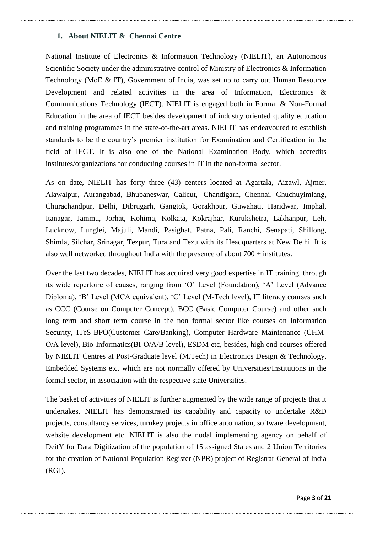# **1. About NIELIT & Chennai Centre**

National Institute of Electronics & Information Technology (NIELIT), an Autonomous Scientific Society under the administrative control of Ministry of Electronics & Information Technology (MoE & IT), Government of India, was set up to carry out Human Resource Development and related activities in the area of Information, Electronics & Communications Technology (IECT). NIELIT is engaged both in Formal & Non-Formal Education in the area of IECT besides development of industry oriented quality education and training programmes in the state-of-the-art areas. NIELIT has endeavoured to establish standards to be the country"s premier institution for Examination and Certification in the field of IECT. It is also one of the National Examination Body, which accredits institutes/organizations for conducting courses in IT in the non-formal sector.

As on date, NIELIT has forty three (43) centers located at Agartala, Aizawl, Ajmer, Alawalpur, Aurangabad, Bhubaneswar, Calicut, Chandigarh, Chennai, Chuchuyimlang, Churachandpur, Delhi, Dibrugarh, Gangtok, Gorakhpur, Guwahati, Haridwar, Imphal, Itanagar, Jammu, Jorhat, Kohima, Kolkata, Kokrajhar, Kurukshetra, Lakhanpur, Leh, Lucknow, Lunglei, Majuli, Mandi, Pasighat, Patna, Pali, Ranchi, Senapati, Shillong, Shimla, Silchar, Srinagar, Tezpur, Tura and Tezu with its Headquarters at New Delhi. It is also well networked throughout India with the presence of about 700 + institutes.

Over the last two decades, NIELIT has acquired very good expertise in IT training, through its wide repertoire of causes, ranging from "O" Level (Foundation), "A" Level (Advance Diploma), 'B' Level (MCA equivalent), 'C' Level (M-Tech level), IT literacy courses such as CCC (Course on Computer Concept), BCC (Basic Computer Course) and other such long term and short term course in the non formal sector like courses on Information Security, ITeS-BPO(Customer Care/Banking), Computer Hardware Maintenance (CHM-O/A level), Bio-Informatics(BI-O/A/B level), ESDM etc, besides, high end courses offered by NIELIT Centres at Post-Graduate level (M.Tech) in Electronics Design & Technology, Embedded Systems etc. which are not normally offered by Universities/Institutions in the formal sector, in association with the respective state Universities.

The basket of activities of NIELIT is further augmented by the wide range of projects that it undertakes. NIELIT has demonstrated its capability and capacity to undertake R&D projects, consultancy services, turnkey projects in office automation, software development, website development etc. NIELIT is also the nodal implementing agency on behalf of DeitY for Data Digitization of the population of 15 assigned States and 2 Union Territories for the creation of National Population Register (NPR) project of Registrar General of India (RGI).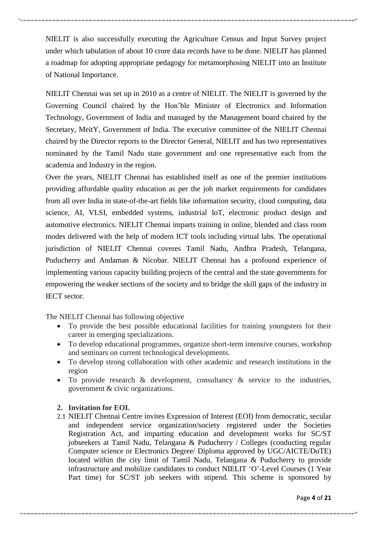NIELIT is also successfully executing the Agriculture Census and Input Survey project under which tabulation of about 10 crore data records have to be done. NIELIT has planned a roadmap for adopting appropriate pedagogy for metamorphosing NIELIT into an Institute of National Importance.

NIELIT Chennai was set up in 2010 as a centre of NIELIT. The NIELIT is governed by the Governing Council chaired by the Hon"ble Minister of Electronics and Information Technology, Government of India and managed by the Management board chaired by the Secretary, MeitY, Government of India. The executive committee of the NIELIT Chennai chaired by the Director reports to the Director General, NIELIT and has two representatives nominated by the Tamil Nadu state government and one representative each from the academia and Industry in the region.

Over the years, NIELIT Chennai has established itself as one of the premier institutions providing affordable quality education as per the job market requirements for candidates from all over India in state-of-the-art fields like information security, cloud computing, data science, AI, VLSI, embedded systems, industrial IoT, electronic product design and automotive electronics. NIELIT Chennai imparts training in online, blended and class room modes delivered with the help of modern ICT tools including virtual labs. The operational jurisdiction of NIELIT Chennai coveres Tamil Nadu, Andhra Pradesh, Telangana, Puducherry and Andaman & Nicobar. NIELIT Chennai has a profound experience of implementing various capacity building projects of the central and the state governments for empowering the weaker sections of the society and to bridge the skill gaps of the industry in IECT sector.

The NIELIT Chennai has following objective

- To provide the best possible educational facilities for training youngsters for their career in emerging specializations.
- To develop educational programmes, organize short-term intensive courses, workshop and seminars on current technological developments.
- To develop strong collaboration with other academic and research institutions in the region
- To provide research  $\&$  development, consultancy  $\&$  service to the industries, government & civic organizations.

#### **2. Invitation for EOI.**

2.1 NIELIT Chennai Centre invites Expression of Interest (EOI) from democratic, secular and independent service organization/society registered under the Societies Registration Act, and imparting education and development works for SC/ST jobseekers at Tamil Nadu, Telangana & Puducherry / Colleges (conducting regular Computer science or Electronics Degree/ Diploma approved by UGC/AICTE/DoTE) located within the city limit of Tamil Nadu, Telangana & Puducherry to provide infrastructure and mobilize candidates to conduct NIELIT "O"-Level Courses (1 Year Part time) for SC/ST job seekers with stipend. This scheme is sponsored by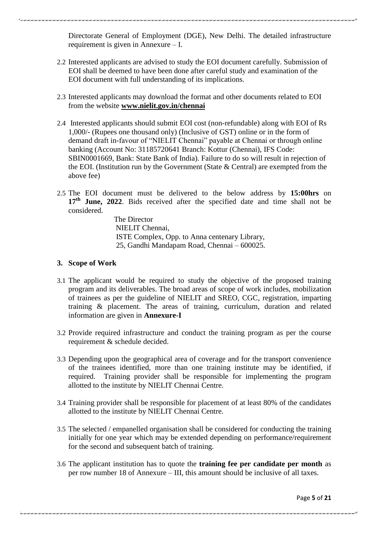Directorate General of Employment (DGE), New Delhi. The detailed infrastructure requirement is given in Annexure – I.

- 2.2 Interested applicants are advised to study the EOI document carefully. Submission of EOI shall be deemed to have been done after careful study and examination of the EOI document with full understanding of its implications.
- 2.3 Interested applicants may download the format and other documents related to EOI from the website **[www.nielit.gov.in/chennai](http://www.nielit.gov.in/chennai)**
- 2.4 Interested applicants should submit EOI cost (non-refundable) along with EOI of Rs 1,000/- (Rupees one thousand only) (Inclusive of GST) online or in the form of demand draft in-favour of "NIELIT Chennai" payable at Chennai or through online banking (Account No: 31185720641 Branch: Kottur (Chennai), IFS Code: SBIN0001669, Bank: State Bank of India). Failure to do so will result in rejection of the EOI. (Institution run by the Government (State & Central) are exempted from the above fee)
- 2.5 The EOI document must be delivered to the below address by **15:00hrs** on 17<sup>th</sup> June, 2022. Bids received after the specified date and time shall not be considered.

The Director NIELIT Chennai, ISTE Complex, Opp. to Anna centenary Library, 25, Gandhi Mandapam Road, Chennai – 600025.

# **3. Scope of Work**

- 3.1 The applicant would be required to study the objective of the proposed training program and its deliverables. The broad areas of scope of work includes, mobilization of trainees as per the guideline of NIELIT and SREO, CGC, registration, imparting training & placement. The areas of training, curriculum, duration and related information are given in **Annexure-I**
- 3.2 Provide required infrastructure and conduct the training program as per the course requirement & schedule decided.
- 3.3 Depending upon the geographical area of coverage and for the transport convenience of the trainees identified, more than one training institute may be identified, if required. Training provider shall be responsible for implementing the program allotted to the institute by NIELIT Chennai Centre.
- 3.4 Training provider shall be responsible for placement of at least 80% of the candidates allotted to the institute by NIELIT Chennai Centre.
- 3.5 The selected / empanelled organisation shall be considered for conducting the training initially for one year which may be extended depending on performance/requirement for the second and subsequent batch of training.
- 3.6 The applicant institution has to quote the **training fee per candidate per month** as per row number 18 of Annexure – III, this amount should be inclusive of all taxes.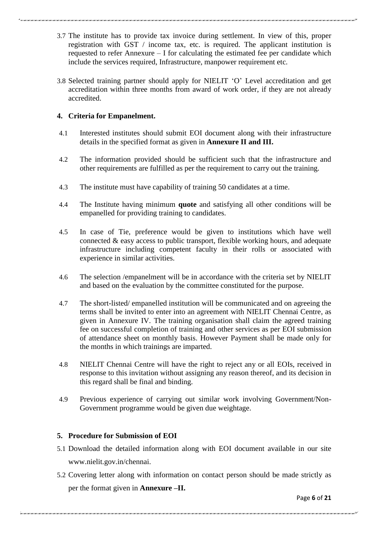- 3.7 The institute has to provide tax invoice during settlement. In view of this, proper registration with GST / income tax, etc. is required. The applicant institution is requested to refer Annexure – I for calculating the estimated fee per candidate which include the services required, Infrastructure, manpower requirement etc.
- 3.8 Selected training partner should apply for NIELIT "O" Level accreditation and get accreditation within three months from award of work order, if they are not already accredited.

# **4. Criteria for Empanelment.**

- 4.1 Interested institutes should submit EOI document along with their infrastructure details in the specified format as given in **Annexure II and III.**
- 4.2 The information provided should be sufficient such that the infrastructure and other requirements are fulfilled as per the requirement to carry out the training.
- 4.3 The institute must have capability of training 50 candidates at a time.
- 4.4 The Institute having minimum **quote** and satisfying all other conditions will be empanelled for providing training to candidates.
- 4.5 In case of Tie, preference would be given to institutions which have well connected & easy access to public transport, flexible working hours, and adequate infrastructure including competent faculty in their rolls or associated with experience in similar activities.
- 4.6 The selection /empanelment will be in accordance with the criteria set by NIELIT and based on the evaluation by the committee constituted for the purpose.
- 4.7 The short-listed/ empanelled institution will be communicated and on agreeing the terms shall be invited to enter into an agreement with NIELIT Chennai Centre, as given in Annexure IV. The training organisation shall claim the agreed training fee on successful completion of training and other services as per EOI submission of attendance sheet on monthly basis. However Payment shall be made only for the months in which trainings are imparted.
- 4.8 NIELIT Chennai Centre will have the right to reject any or all EOIs, received in response to this invitation without assigning any reason thereof, and its decision in this regard shall be final and binding.
- 4.9 Previous experience of carrying out similar work involving Government/Non-Government programme would be given due weightage.

# **5. Procedure for Submission of EOI**

- 5.1 Download the detailed information along with EOI document available in our site [www.nielit.gov.in/chennai.](http://www.nielit.gov.in/chennai)
- 5.2 Covering letter along with information on contact person should be made strictly as per the format given in **Annexure –II.**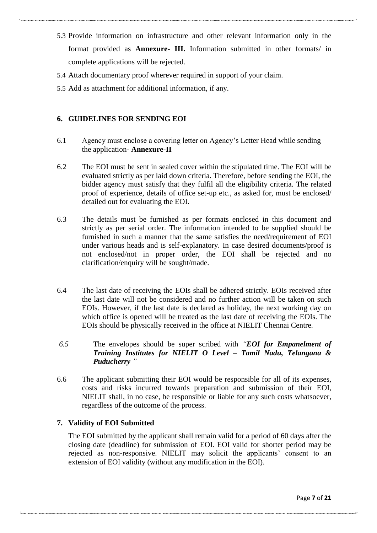- 5.3 Provide information on infrastructure and other relevant information only in the format provided as **Annexure- III.** Information submitted in other formats/ in complete applications will be rejected.
- 5.4 Attach documentary proof wherever required in support of your claim.
- 5.5 Add as attachment for additional information, if any.

#### **6. GUIDELINES FOR SENDING EOI**

- 6.1 Agency must enclose a covering letter on Agency"s Letter Head while sending the application- **Annexure-II**
- 6.2 The EOI must be sent in sealed cover within the stipulated time. The EOI will be evaluated strictly as per laid down criteria. Therefore, before sending the EOI, the bidder agency must satisfy that they fulfil all the eligibility criteria. The related proof of experience, details of office set-up etc., as asked for, must be enclosed/ detailed out for evaluating the EOI.
- 6.3 The details must be furnished as per formats enclosed in this document and strictly as per serial order. The information intended to be supplied should be furnished in such a manner that the same satisfies the need/requirement of EOI under various heads and is self-explanatory. In case desired documents/proof is not enclosed/not in proper order, the EOI shall be rejected and no clarification/enquiry will be sought/made.
- 6.4 The last date of receiving the EOIs shall be adhered strictly. EOIs received after the last date will not be considered and no further action will be taken on such EOIs. However, if the last date is declared as holiday, the next working day on which office is opened will be treated as the last date of receiving the EOIs. The EOIs should be physically received in the office at NIELIT Chennai Centre.
- *6.5* The envelopes should be super scribed with *"EOI for Empanelment of Training Institutes for NIELIT O Level – Tamil Nadu, Telangana & Puducherry "*
- 6.6 The applicant submitting their EOI would be responsible for all of its expenses, costs and risks incurred towards preparation and submission of their EOI, NIELIT shall, in no case, be responsible or liable for any such costs whatsoever, regardless of the outcome of the process.

## **7. Validity of EOI Submitted**

The EOI submitted by the applicant shall remain valid for a period of 60 days after the closing date (deadline) for submission of EOI. EOI valid for shorter period may be rejected as non-responsive. NIELIT may solicit the applicants" consent to an extension of EOI validity (without any modification in the EOI).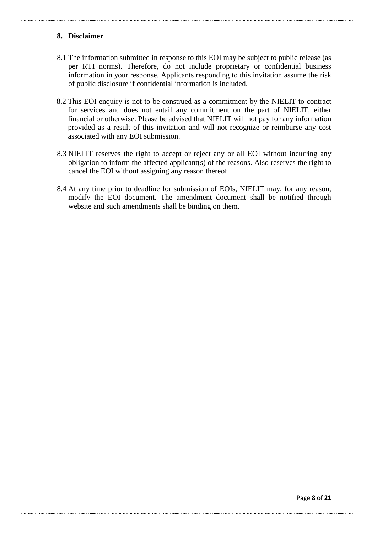# **8. Disclaimer**

- 8.1 The information submitted in response to this EOI may be subject to public release (as per RTI norms). Therefore, do not include proprietary or confidential business information in your response. Applicants responding to this invitation assume the risk of public disclosure if confidential information is included.
- 8.2 This EOI enquiry is not to be construed as a commitment by the NIELIT to contract for services and does not entail any commitment on the part of NIELIT, either financial or otherwise. Please be advised that NIELIT will not pay for any information provided as a result of this invitation and will not recognize or reimburse any cost associated with any EOI submission.
- 8.3 NIELIT reserves the right to accept or reject any or all EOI without incurring any obligation to inform the affected applicant(s) of the reasons. Also reserves the right to cancel the EOI without assigning any reason thereof.
- 8.4 At any time prior to deadline for submission of EOIs, NIELIT may, for any reason, modify the EOI document. The amendment document shall be notified through website and such amendments shall be binding on them.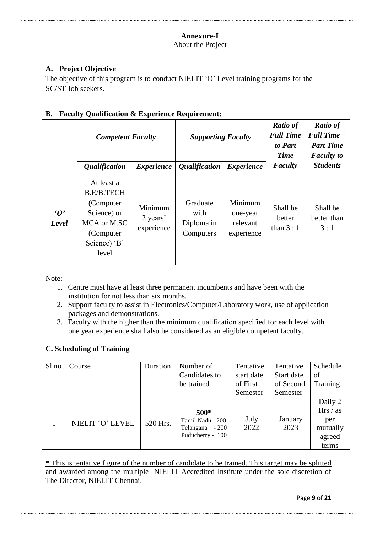#### **Annexure-I** About the Project

# **A. Project Objective**

The objective of this program is to conduct NIELIT 'O' Level training programs for the SC/ST Job seekers.

# **B. Faculty Qualification & Experience Requirement:**

|                        | <b>Competent Faculty</b><br><i><b>Qualification</b></i>                                                            | <i>Experience</i>                 | <b>Supporting Faculty</b><br><i><b>Qualification</b></i> | <i>Experience</i>                             | <b>Ratio of</b><br><b>Full Time</b><br>to Part<br><b>Time</b><br><b>Faculty</b> | <b>Ratio of</b><br>Full Time +<br><b>Part Time</b><br><b>Faculty</b> to<br><b>Students</b> |
|------------------------|--------------------------------------------------------------------------------------------------------------------|-----------------------------------|----------------------------------------------------------|-----------------------------------------------|---------------------------------------------------------------------------------|--------------------------------------------------------------------------------------------|
| $\mathbf{O}'$<br>Level | At least a<br><b>B.E/B.TECH</b><br>(Computer)<br>Science) or<br>MCA or M.SC<br>(Computer)<br>Science) 'B'<br>level | Minimum<br>2 years'<br>experience | Graduate<br>with<br>Diploma in<br>Computers              | Minimum<br>one-year<br>relevant<br>experience | Shall be<br>better<br>than $3:1$                                                | Shall be<br>better than<br>3:1                                                             |

Note:

- 1. Centre must have at least three permanent incumbents and have been with the institution for not less than six months.
- 2. Support faculty to assist in Electronics/Computer/Laboratory work, use of application packages and demonstrations.
- 3. Faculty with the higher than the minimum qualification specified for each level with one year experience shall also be considered as an eligible competent faculty.

# **C. Scheduling of Training**

| Sl.no | Course           | Duration | Number of                                                         | Tentative    | Tentative       | Schedule                                                  |
|-------|------------------|----------|-------------------------------------------------------------------|--------------|-----------------|-----------------------------------------------------------|
|       |                  |          | Candidates to                                                     | start date   | Start date      | of                                                        |
|       |                  |          | be trained                                                        | of First     | of Second       | Training                                                  |
|       |                  |          |                                                                   | Semester     | Semester        |                                                           |
|       | NIELIT 'O' LEVEL | 520 Hrs. | $500*$<br>Tamil Nadu - 200<br>Telangana - 200<br>Puducherry - 100 | July<br>2022 | January<br>2023 | Daily 2<br>Hrs / as<br>per<br>mutually<br>agreed<br>terms |

\* This is tentative figure of the number of candidate to be trained. This target may be splitted and awarded among the multiple NIELIT Accredited Institute under the sole discretion of The Director, NIELIT Chennai.

Page **9** of **21**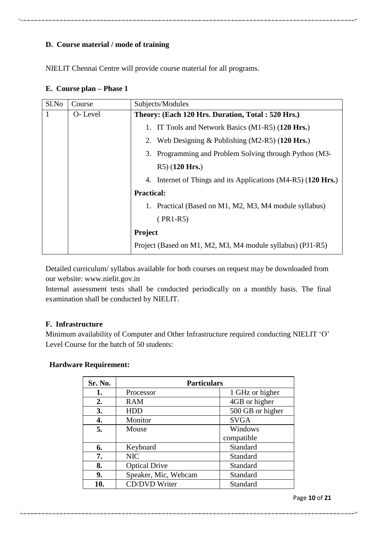# **D. Course material / mode of training**

NIELIT Chennai Centre will provide course material for all programs.

# **E. Course plan – Phase 1**

| Sl.No | Course  | Subjects/Modules                                              |  |
|-------|---------|---------------------------------------------------------------|--|
| 1     | O-Level | Theory: (Each 120 Hrs. Duration, Total: 520 Hrs.)             |  |
|       |         | 1. IT Tools and Network Basics (M1-R5) (120 Hrs.)             |  |
|       |         | 2. Web Designing & Publishing (M2-R5) $(120 \text{ Hrs.})$    |  |
|       |         | 3. Programming and Problem Solving through Python (M3-        |  |
|       |         | $R5)$ (120 Hrs.)                                              |  |
|       |         | 4. Internet of Things and its Applications (M4-R5) (120 Hrs.) |  |
|       |         | <b>Practical:</b>                                             |  |
|       |         | 1. Practical (Based on M1, M2, M3, M4 module syllabus)        |  |
|       |         | $(PR1-R5)$                                                    |  |
|       |         | Project                                                       |  |
|       |         | Project (Based on M1, M2, M3, M4 module syllabus) (PJ1-R5)    |  |

Detailed curriculum/ syllabus available for both courses on request may be downloaded from our website: www.nielit.gov.in

Internal assessment tests shall be conducted periodically on a monthly basis. The final examination shall be conducted by NIELIT.

# **F. Infrastructure**

Minimum availability of Computer and Other Infrastructure required conducting NIELIT 'O' Level Course for the batch of 50 students:

# **Hardware Requirement:**

| Sr. No. | <b>Particulars</b>   |                  |  |
|---------|----------------------|------------------|--|
| 1.      | Processor            | 1 GHz or higher  |  |
| 2.      | <b>RAM</b>           | 4GB or higher    |  |
| 3.      | <b>HDD</b>           | 500 GB or higher |  |
| 4.      | Monitor              | <b>SVGA</b>      |  |
| 5.      | Mouse                | Windows          |  |
|         |                      | compatible       |  |
| 6.      | Keyboard             | Standard         |  |
| 7.      | <b>NIC</b>           | Standard         |  |
| 8.      | <b>Optical Drive</b> | Standard         |  |
| 9.      | Speaker, Mic, Webcam | Standard         |  |
| 10.     | CD/DVD Writer        | Standard         |  |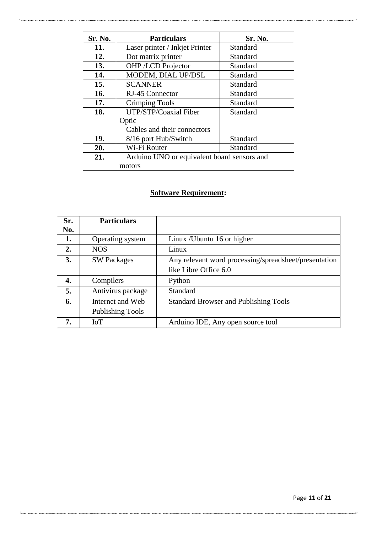| Sr. No. | <b>Particulars</b>                          | Sr. No.  |  |
|---------|---------------------------------------------|----------|--|
| 11.     | Laser printer / Inkjet Printer              | Standard |  |
| 12.     | Dot matrix printer                          | Standard |  |
| 13.     | OHP /LCD Projector                          | Standard |  |
| 14.     | MODEM, DIAL UP/DSL                          | Standard |  |
| 15.     | <b>SCANNER</b>                              | Standard |  |
| 16.     | RJ-45 Connector                             | Standard |  |
| 17.     | Crimping Tools                              | Standard |  |
| 18.     | UTP/STP/Coaxial Fiber<br>Standard           |          |  |
|         | Optic                                       |          |  |
|         | Cables and their connectors                 |          |  |
| 19.     | 8/16 port Hub/Switch                        | Standard |  |
| 20.     | Wi-Fi Router<br>Standard                    |          |  |
| 21.     | Arduino UNO or equivalent board sensors and |          |  |
|         | motors                                      |          |  |

# **Software Requirement:**

| Sr. | <b>Particulars</b>      |                                                       |
|-----|-------------------------|-------------------------------------------------------|
| No. |                         |                                                       |
| 1.  | Operating system        | Linux / Ubuntu 16 or higher                           |
| 2.  | <b>NOS</b>              | Linux                                                 |
| 3.  | <b>SW Packages</b>      | Any relevant word processing/spreadsheet/presentation |
|     |                         | like Libre Office 6.0                                 |
| 4.  | Compilers               | Python                                                |
| 5.  | Antivirus package       | Standard                                              |
| 6.  | Internet and Web        | <b>Standard Browser and Publishing Tools</b>          |
|     | <b>Publishing Tools</b> |                                                       |
| 7.  | IoT                     | Arduino IDE, Any open source tool                     |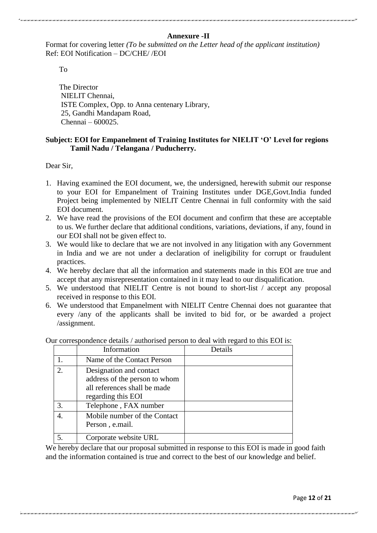# **Annexure -II**

Format for covering letter *(To be submitted on the Letter head of the applicant institution)* Ref: EOI Notification – DC/CHE/ /EOI

To

The Director NIELIT Chennai, ISTE Complex, Opp. to Anna centenary Library, 25, Gandhi Mandapam Road, Chennai – 600025.

# **Subject: EOI for Empanelment of Training Institutes for NIELIT 'O' Level for regions Tamil Nadu / Telangana / Puducherry.**

Dear Sir,

- 1. Having examined the EOI document, we, the undersigned, herewith submit our response to your EOI for Empanelment of Training Institutes under DGE,Govt.India funded Project being implemented by NIELIT Centre Chennai in full conformity with the said EOI document.
- 2. We have read the provisions of the EOI document and confirm that these are acceptable to us. We further declare that additional conditions, variations, deviations, if any, found in our EOI shall not be given effect to.
- 3. We would like to declare that we are not involved in any litigation with any Government in India and we are not under a declaration of ineligibility for corrupt or fraudulent practices.
- 4. We hereby declare that all the information and statements made in this EOI are true and accept that any misrepresentation contained in it may lead to our disqualification.
- 5. We understood that NIELIT Centre is not bound to short-list / accept any proposal received in response to this EOI.
- 6. We understood that Empanelment with NIELIT Centre Chennai does not guarantee that every /any of the applicants shall be invited to bid for, or be awarded a project /assignment.

|    | Information                                                                                                    | Details |
|----|----------------------------------------------------------------------------------------------------------------|---------|
|    | Name of the Contact Person                                                                                     |         |
| 2. | Designation and contact<br>address of the person to whom<br>all references shall be made<br>regarding this EOI |         |
| 3. | Telephone, FAX number                                                                                          |         |
| 4. | Mobile number of the Contact<br>Person, e.mail.                                                                |         |
|    | Corporate website URL                                                                                          |         |

Our correspondence details / authorised person to deal with regard to this EOI is:

We hereby declare that our proposal submitted in response to this EOI is made in good faith and the information contained is true and correct to the best of our knowledge and belief.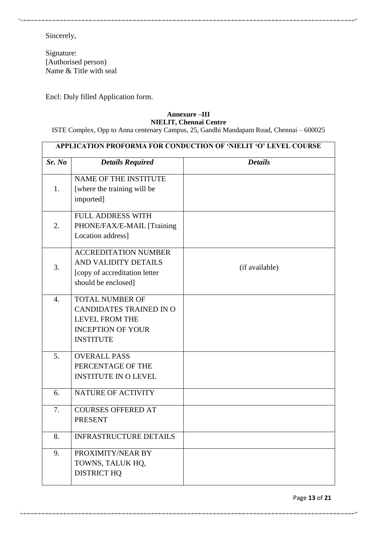Sincerely,

Signature: [Authorised person) Name & Title with seal

Encl: Duly filled Application form.

#### **Annexure –III NIELIT, Chennai Centre**

ISTE Complex, Opp to Anna centenary Campus, 25, Gandhi Mandapam Road, Chennai – 600025

| Sr. No           | <b>Details Required</b>                                                                                                    | <b>Details</b> |
|------------------|----------------------------------------------------------------------------------------------------------------------------|----------------|
| 1.               | NAME OF THE INSTITUTE<br>[where the training will be<br>imported]                                                          |                |
| 2.               | <b>FULL ADDRESS WITH</b><br>PHONE/FAX/E-MAIL [Training<br>Location address]                                                |                |
| 3.               | <b>ACCREDITATION NUMBER</b><br>AND VALIDITY DETAILS<br>[copy of accreditation letter<br>should be enclosed]                | (if available) |
| $\overline{4}$ . | <b>TOTAL NUMBER OF</b><br>CANDIDATES TRAINED IN O<br><b>LEVEL FROM THE</b><br><b>INCEPTION OF YOUR</b><br><b>INSTITUTE</b> |                |
| 5.               | <b>OVERALL PASS</b><br>PERCENTAGE OF THE<br><b>INSTITUTE IN O LEVEL</b>                                                    |                |
| 6.               | NATURE OF ACTIVITY                                                                                                         |                |
| 7.               | <b>COURSES OFFERED AT</b><br><b>PRESENT</b>                                                                                |                |
| 8.               | <b>INFRASTRUCTURE DETAILS</b>                                                                                              |                |
| 9.               | PROXIMITY/NEAR BY<br>TOWNS, TALUK HQ,<br><b>DISTRICT HQ</b>                                                                |                |

Page **13** of **21**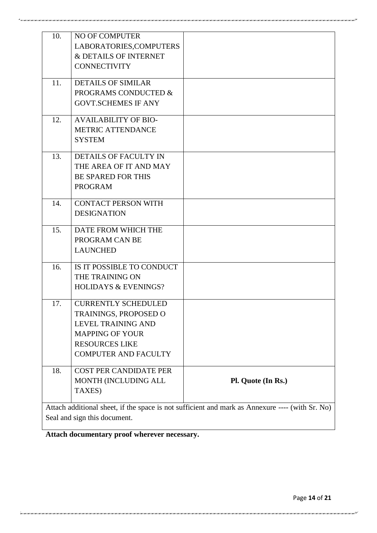|     | MONTH (INCLUDING ALL<br>TAXES)                         | Pl. Quote (In Rs.) |
|-----|--------------------------------------------------------|--------------------|
| 18. | <b>COST PER CANDIDATE PER</b>                          |                    |
|     | <b>COMPUTER AND FACULTY</b>                            |                    |
|     | <b>MAPPING OF YOUR</b><br><b>RESOURCES LIKE</b>        |                    |
|     | <b>LEVEL TRAINING AND</b>                              |                    |
|     | TRAININGS, PROPOSED O                                  |                    |
| 17. | <b>CURRENTLY SCHEDULED</b>                             |                    |
|     | <b>HOLIDAYS &amp; EVENINGS?</b>                        |                    |
|     | THE TRAINING ON                                        |                    |
| 16. | IS IT POSSIBLE TO CONDUCT                              |                    |
|     | <b>LAUNCHED</b>                                        |                    |
|     | PROGRAM CAN BE                                         |                    |
| 15. | DATE FROM WHICH THE                                    |                    |
|     | <b>DESIGNATION</b>                                     |                    |
| 14. | <b>CONTACT PERSON WITH</b>                             |                    |
|     | <b>PROGRAM</b>                                         |                    |
|     | <b>BE SPARED FOR THIS</b>                              |                    |
| 13. | <b>DETAILS OF FACULTY IN</b><br>THE AREA OF IT AND MAY |                    |
|     |                                                        |                    |
|     | <b>METRIC ATTENDANCE</b><br><b>SYSTEM</b>              |                    |
| 12. | <b>AVAILABILITY OF BIO-</b>                            |                    |
|     | <b>GOVT.SCHEMES IF ANY</b>                             |                    |
|     | PROGRAMS CONDUCTED &                                   |                    |
| 11. | <b>DETAILS OF SIMILAR</b>                              |                    |
|     | <b>CONNECTIVITY</b>                                    |                    |
|     | & DETAILS OF INTERNET                                  |                    |
|     | LABORATORIES, COMPUTERS                                |                    |

**Attach documentary proof wherever necessary.**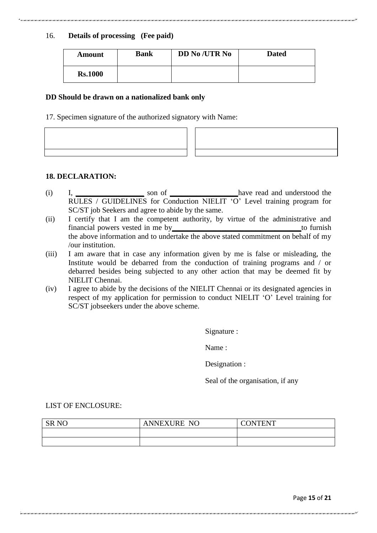# 16. **Details of processing (Fee paid)**

| Amount         | <b>Bank</b> | <b>DD No /UTR No</b> | <b>Dated</b> |
|----------------|-------------|----------------------|--------------|
| <b>Rs.1000</b> |             |                      |              |

#### **DD Should be drawn on a nationalized bank only**

17. Specimen signature of the authorized signatory with Name:

## **18. DECLARATION:**

- (i) I, **\_\_\_\_\_\_\_\_\_\_\_\_\_\_\_\_\_\_** son of **\_\_\_\_\_\_\_\_\_\_\_\_\_\_\_\_\_\_**have read and understood the RULES / GUIDELINES for Conduction NIELIT 'O' Level training program for SC/ST job Seekers and agree to abide by the same.
- (ii) I certify that I am the competent authority, by virtue of the administrative and financial powers vested in me by**\_\_\_\_\_\_\_\_\_\_\_\_\_\_\_\_\_\_\_\_\_\_\_\_\_\_\_\_\_\_\_\_\_\_**to furnish the above information and to undertake the above stated commitment on behalf of my /our institution.
- (iii) I am aware that in case any information given by me is false or misleading, the Institute would be debarred from the conduction of training programs and / or debarred besides being subjected to any other action that may be deemed fit by NIELIT Chennai.
- (iv) I agree to abide by the decisions of the NIELIT Chennai or its designated agencies in respect of my application for permission to conduct NIELIT "O" Level training for SC/ST jobseekers under the above scheme.

Signature :

Name :

Designation :

Seal of the organisation, if any

LIST OF ENCLOSURE:

| <b>SR NO</b> | <b>ANNEXURE NO</b> | CONTENT |
|--------------|--------------------|---------|
|              |                    |         |
|              |                    |         |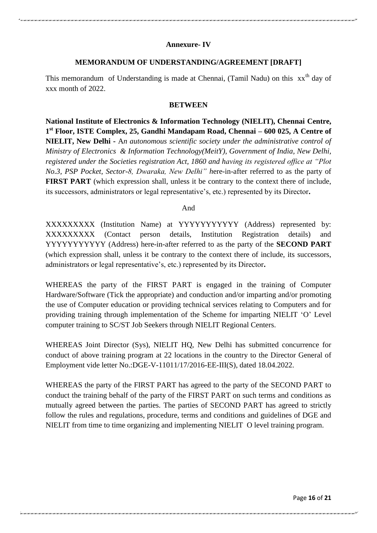# **Annexure- IV**

# **MEMORANDUM OF UNDERSTANDING/AGREEMENT [DRAFT]**

This memorandum of Understanding is made at Chennai, (Tamil Nadu) on this  $xx<sup>th</sup>$  day of xxx month of 2022.

#### **BETWEEN**

**National Institute of Electronics & Information Technology (NIELIT), Chennai Centre, 1 st Floor, ISTE Complex, 25, Gandhi Mandapam Road, Chennai – 600 025, A Centre of NIELIT, New Delhi -** A*n autonomous scientific society under the administrative control of Ministry of Electronics & Information Technology(MeitY), Government of India, New Delhi, registered under the Societies registration Act, 1860 and having its registered office at "Plot No.3, PSP Pocket, Sector-8, Dwaraka, New Delhi" h*ere-in-after referred to as the party of **FIRST PART** (which expression shall, unless it be contrary to the context there of include, its successors, administrators or legal representative's, etc.) represented by its Director.

#### And

XXXXXXXXX (Institution Name) at YYYYYYYYYYY (Address) represented by: XXXXXXXXX (Contact person details, Institution Registration details) and YYYYYYYYYYY (Address) here-in-after referred to as the party of the **SECOND PART**  (which expression shall, unless it be contrary to the context there of include, its successors, administrators or legal representative"s, etc.) represented by its Director**.**

WHEREAS the party of the FIRST PART is engaged in the training of Computer Hardware/Software (Tick the appropriate) and conduction and/or imparting and/or promoting the use of Computer education or providing technical services relating to Computers and for providing training through implementation of the Scheme for imparting NIELIT "O" Level computer training to SC/ST Job Seekers through NIELIT Regional Centers.

WHEREAS Joint Director (Sys), NIELIT HQ, New Delhi has submitted concurrence for conduct of above training program at 22 locations in the country to the Director General of Employment vide letter No.:DGE-V-11011/17/2016-EE-III(S), dated 18.04.2022.

WHEREAS the party of the FIRST PART has agreed to the party of the SECOND PART to conduct the training behalf of the party of the FIRST PART on such terms and conditions as mutually agreed between the parties. The parties of SECOND PART has agreed to strictly follow the rules and regulations, procedure, terms and conditions and guidelines of DGE and NIELIT from time to time organizing and implementing NIELIT O level training program.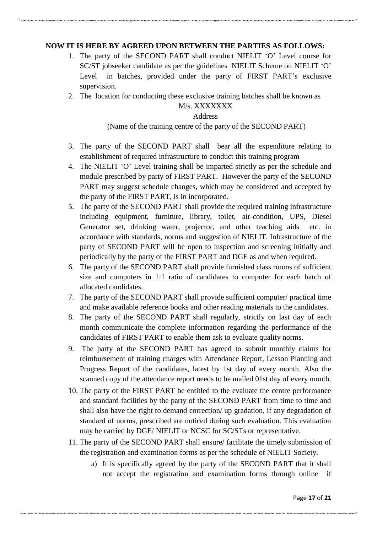# **NOW IT IS HERE BY AGREED UPON BETWEEN THE PARTIES AS FOLLOWS:**

- 1. The party of the SECOND PART shall conduct NIELIT "O" Level course for SC/ST jobseeker candidate as per the guidelines NIELIT Scheme on NIELIT 'O' Level in batches, provided under the party of FIRST PART's exclusive supervision.
- 2. The location for conducting these exclusive training batches shall be known as

# M/s. XXXXXXX

## **Address**

# (Name of the training centre of the party of the SECOND PART)

- 3. The party of the SECOND PART shall bear all the expenditure relating to establishment of required infrastructure to conduct this training program
- 4. The NIELIT "O" Level training shall be imparted strictly as per the schedule and module prescribed by party of FIRST PART. However the party of the SECOND PART may suggest schedule changes, which may be considered and accepted by the party of the FIRST PART, is in incorporated.
- 5. The party of the SECOND PART shall provide the required training infrastructure including equipment, furniture, library, toilet, air-condition, UPS, Diesel Generator set, drinking water, projector, and other teaching aids etc. in accordance with standards, norms and suggestion of NIELIT. Infrastructure of the party of SECOND PART will be open to inspection and screening initially and periodically by the party of the FIRST PART and DGE as and when required.
- 6. The party of the SECOND PART shall provide furnished class rooms of sufficient size and computers in 1:1 ratio of candidates to computer for each batch of allocated candidates.
- 7. The party of the SECOND PART shall provide sufficient computer/ practical time and make available reference books and other reading materials to the candidates.
- 8. The party of the SECOND PART shall regularly, strictly on last day of each month communicate the complete information regarding the performance of the candidates of FIRST PART to enable them ask to evaluate quality norms.
- 9. The party of the SECOND PART has agreed to submit monthly claims for reimbursement of training charges with Attendance Report, Lesson Planning and Progress Report of the candidates, latest by 1st day of every month. Also the scanned copy of the attendance report needs to be mailed 01st day of every month.
- 10. The party of the FIRST PART be entitled to the evaluate the centre performance and standard facilities by the party of the SECOND PART from time to time and shall also have the right to demand correction/ up gradation, if any degradation of standard of norms, prescribed are noticed during such evaluation. This evaluation may be carried by DGE/ NIELIT or NCSC for SC/STs or representative.
- 11. The party of the SECOND PART shall ensure/ facilitate the timely submission of the registration and examination forms as per the schedule of NIELIT Society.
	- a) It is specifically agreed by the party of the SECOND PART that it shall not accept the registration and examination forms through online if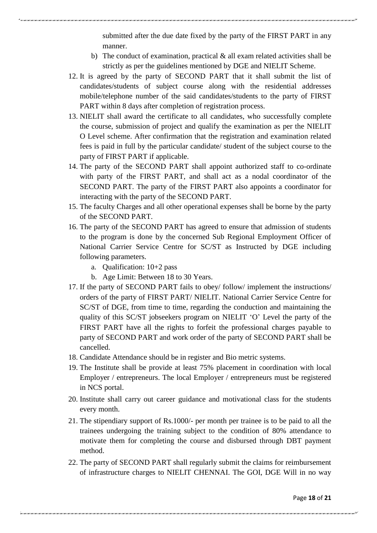submitted after the due date fixed by the party of the FIRST PART in any manner.

- b) The conduct of examination, practical  $\&$  all exam related activities shall be strictly as per the guidelines mentioned by DGE and NIELIT Scheme.
- 12. It is agreed by the party of SECOND PART that it shall submit the list of candidates/students of subject course along with the residential addresses mobile/telephone number of the said candidates/students to the party of FIRST PART within 8 days after completion of registration process.
- 13. NIELIT shall award the certificate to all candidates, who successfully complete the course, submission of project and qualify the examination as per the NIELIT O Level scheme. After confirmation that the registration and examination related fees is paid in full by the particular candidate/ student of the subject course to the party of FIRST PART if applicable.
- 14. The party of the SECOND PART shall appoint authorized staff to co-ordinate with party of the FIRST PART, and shall act as a nodal coordinator of the SECOND PART. The party of the FIRST PART also appoints a coordinator for interacting with the party of the SECOND PART.
- 15. The faculty Charges and all other operational expenses shall be borne by the party of the SECOND PART.
- 16. The party of the SECOND PART has agreed to ensure that admission of students to the program is done by the concerned Sub Regional Employment Officer of National Carrier Service Centre for SC/ST as Instructed by DGE including following parameters.
	- a. Qualification: 10+2 pass
	- b. Age Limit: Between 18 to 30 Years.
- 17. If the party of SECOND PART fails to obey/ follow/ implement the instructions/ orders of the party of FIRST PART/ NIELIT. National Carrier Service Centre for SC/ST of DGE, from time to time, regarding the conduction and maintaining the quality of this SC/ST jobseekers program on NIELIT "O" Level the party of the FIRST PART have all the rights to forfeit the professional charges payable to party of SECOND PART and work order of the party of SECOND PART shall be cancelled.
- 18. Candidate Attendance should be in register and Bio metric systems.
- 19. The Institute shall be provide at least 75% placement in coordination with local Employer / entrepreneurs. The local Employer / entrepreneurs must be registered in NCS portal.
- 20. Institute shall carry out career guidance and motivational class for the students every month.
- 21. The stipendiary support of Rs.1000/- per month per trainee is to be paid to all the trainees undergoing the training subject to the condition of 80% attendance to motivate them for completing the course and disbursed through DBT payment method.
- 22. The party of SECOND PART shall regularly submit the claims for reimbursement of infrastructure charges to NIELIT CHENNAI. The GOI, DGE Will in no way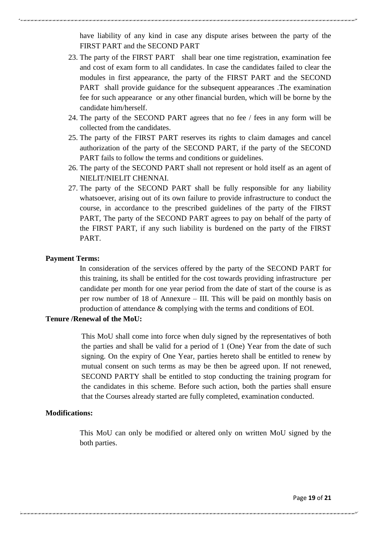have liability of any kind in case any dispute arises between the party of the FIRST PART and the SECOND PART

- 23. The party of the FIRST PART shall bear one time registration, examination fee and cost of exam form to all candidates. In case the candidates failed to clear the modules in first appearance, the party of the FIRST PART and the SECOND PART shall provide guidance for the subsequent appearances .The examination fee for such appearance or any other financial burden, which will be borne by the candidate him/herself.
- 24. The party of the SECOND PART agrees that no fee / fees in any form will be collected from the candidates.
- 25. The party of the FIRST PART reserves its rights to claim damages and cancel authorization of the party of the SECOND PART, if the party of the SECOND PART fails to follow the terms and conditions or guidelines.
- 26. The party of the SECOND PART shall not represent or hold itself as an agent of NIELIT/NIELIT CHENNAI.
- 27. The party of the SECOND PART shall be fully responsible for any liability whatsoever, arising out of its own failure to provide infrastructure to conduct the course, in accordance to the prescribed guidelines of the party of the FIRST PART, The party of the SECOND PART agrees to pay on behalf of the party of the FIRST PART, if any such liability is burdened on the party of the FIRST PART.

#### **Payment Terms:**

In consideration of the services offered by the party of the SECOND PART for this training, its shall be entitled for the cost towards providing infrastructure per candidate per month for one year period from the date of start of the course is as per row number of 18 of Annexure – III. This will be paid on monthly basis on production of attendance & complying with the terms and conditions of EOI.

# **Tenure /Renewal of the MoU:**

This MoU shall come into force when duly signed by the representatives of both the parties and shall be valid for a period of 1 (One) Year from the date of such signing. On the expiry of One Year, parties hereto shall be entitled to renew by mutual consent on such terms as may be then be agreed upon. If not renewed, SECOND PARTY shall be entitled to stop conducting the training program for the candidates in this scheme. Before such action, both the parties shall ensure that the Courses already started are fully completed, examination conducted.

# **Modifications:**

This MoU can only be modified or altered only on written MoU signed by the both parties.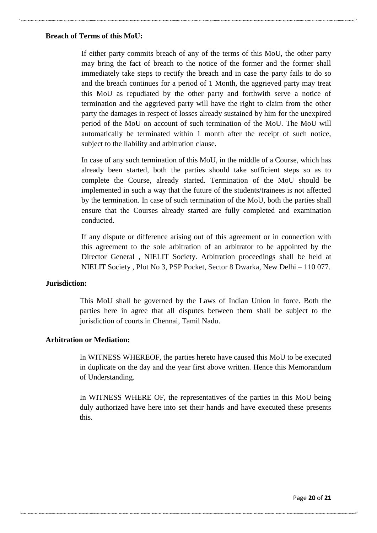#### **Breach of Terms of this MoU:**

If either party commits breach of any of the terms of this MoU, the other party may bring the fact of breach to the notice of the former and the former shall immediately take steps to rectify the breach and in case the party fails to do so and the breach continues for a period of 1 Month, the aggrieved party may treat this MoU as repudiated by the other party and forthwith serve a notice of termination and the aggrieved party will have the right to claim from the other party the damages in respect of losses already sustained by him for the unexpired period of the MoU on account of such termination of the MoU. The MoU will automatically be terminated within 1 month after the receipt of such notice, subject to the liability and arbitration clause.

In case of any such termination of this MoU, in the middle of a Course, which has already been started, both the parties should take sufficient steps so as to complete the Course, already started. Termination of the MoU should be implemented in such a way that the future of the students/trainees is not affected by the termination. In case of such termination of the MoU, both the parties shall ensure that the Courses already started are fully completed and examination conducted.

If any dispute or difference arising out of this agreement or in connection with this agreement to the sole arbitration of an arbitrator to be appointed by the Director General , NIELIT Society. Arbitration proceedings shall be held at NIELIT Society , Plot No 3, PSP Pocket, Sector 8 Dwarka, New Delhi – 110 077.

## **Jurisdiction:**

This MoU shall be governed by the Laws of Indian Union in force. Both the parties here in agree that all disputes between them shall be subject to the jurisdiction of courts in Chennai, Tamil Nadu.

#### **Arbitration or Mediation:**

In WITNESS WHEREOF, the parties hereto have caused this MoU to be executed in duplicate on the day and the year first above written. Hence this Memorandum of Understanding.

In WITNESS WHERE OF, the representatives of the parties in this MoU being duly authorized have here into set their hands and have executed these presents this.